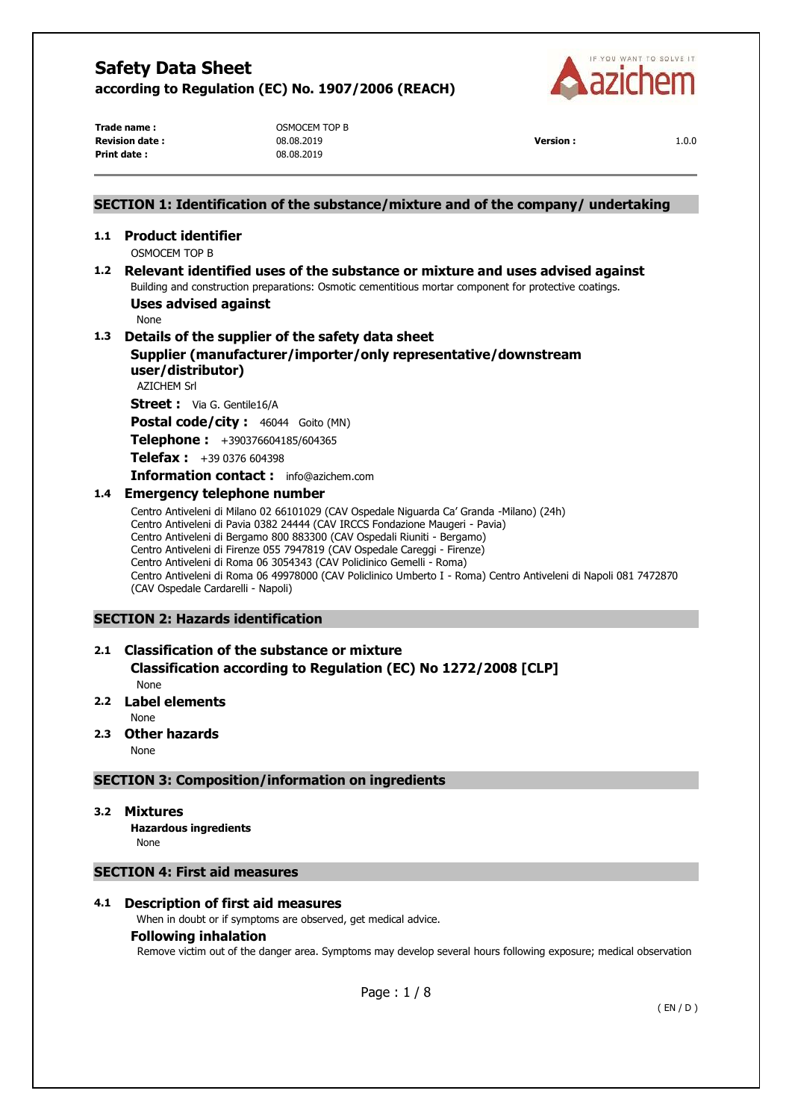

**Revision date :** 08.08.2019 **Version :** 1.0.0 **Print date :** 08.08.2019

**Trade name :**  $OSMOCEM TOP B$ 

# **SECTION 1: Identification of the substance/mixture and of the company/ undertaking 1.1 Product identifier**  OSMOCEM TOP B **1.2 Relevant identified uses of the substance or mixture and uses advised against**  Building and construction preparations: Osmotic cementitious mortar component for protective coatings. **Uses advised against**  None **1.3 Details of the supplier of the safety data sheet Supplier (manufacturer/importer/only representative/downstream user/distributor)**  AZICHEM Srl **Street :** Via G. Gentile16/A Postal code/city : 46044 Goito (MN) **Telephone :** +390376604185/604365 **Telefax :** +39 0376 604398 **Information contact :** info@azichem.com **1.4 Emergency telephone number**  Centro Antiveleni di Milano 02 66101029 (CAV Ospedale Niguarda Ca' Granda -Milano) (24h) Centro Antiveleni di Pavia 0382 24444 (CAV IRCCS Fondazione Maugeri - Pavia) Centro Antiveleni di Bergamo 800 883300 (CAV Ospedali Riuniti - Bergamo) Centro Antiveleni di Firenze 055 7947819 (CAV Ospedale Careggi - Firenze) Centro Antiveleni di Roma 06 3054343 (CAV Policlinico Gemelli - Roma) Centro Antiveleni di Roma 06 49978000 (CAV Policlinico Umberto I - Roma) Centro Antiveleni di Napoli 081 7472870 (CAV Ospedale Cardarelli - Napoli) **SECTION 2: Hazards identification 2.1 Classification of the substance or mixture**

# **Classification according to Regulation (EC) No 1272/2008 [CLP]**  None

# **2.2 Label elements**

None

**2.3 Other hazards** 

None

# **SECTION 3: Composition/information on ingredients**

**3.2 Mixtures** 

**Hazardous ingredients** None

# **SECTION 4: First aid measures**

# **4.1 Description of first aid measures**

When in doubt or if symptoms are observed, get medical advice.

### **Following inhalation**

Remove victim out of the danger area. Symptoms may develop several hours following exposure; medical observation

Page : 1 / 8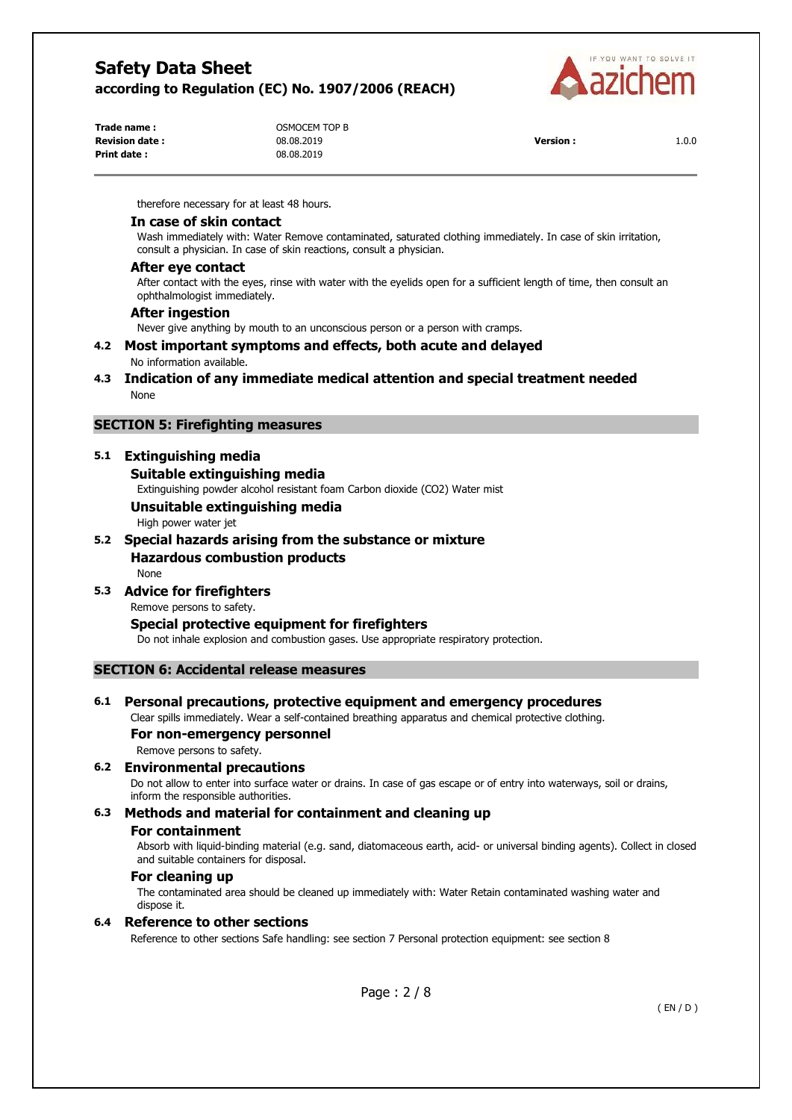

| Trade name :          | OSMOCEM TOP B |                 |       |
|-----------------------|---------------|-----------------|-------|
| <b>Revision date:</b> | 08.08.2019    | <b>Version:</b> | 1.0.0 |
| Print date:           | 08.08.2019    |                 |       |

therefore necessary for at least 48 hours.

### **In case of skin contact**

Wash immediately with: Water Remove contaminated, saturated clothing immediately. In case of skin irritation, consult a physician. In case of skin reactions, consult a physician.

## **After eye contact**

After contact with the eyes, rinse with water with the eyelids open for a sufficient length of time, then consult an ophthalmologist immediately.

## **After ingestion**

Never give anything by mouth to an unconscious person or a person with cramps.

- **4.2 Most important symptoms and effects, both acute and delayed**  No information available.
- **4.3 Indication of any immediate medical attention and special treatment needed**  None

# **SECTION 5: Firefighting measures**

# **5.1 Extinguishing media**

# **Suitable extinguishing media**

Extinguishing powder alcohol resistant foam Carbon dioxide (CO2) Water mist

**Unsuitable extinguishing media** 

High power water jet

**5.2 Special hazards arising from the substance or mixture Hazardous combustion products** 

None

**5.3 Advice for firefighters** 

Remove persons to safety.

# **Special protective equipment for firefighters**

Do not inhale explosion and combustion gases. Use appropriate respiratory protection.

# **SECTION 6: Accidental release measures**

# **6.1 Personal precautions, protective equipment and emergency procedures**

Clear spills immediately. Wear a self-contained breathing apparatus and chemical protective clothing.

# **For non-emergency personnel**

Remove persons to safety.

## **6.2 Environmental precautions**

Do not allow to enter into surface water or drains. In case of gas escape or of entry into waterways, soil or drains, inform the responsible authorities.

# **6.3 Methods and material for containment and cleaning up**

# **For containment**

Absorb with liquid-binding material (e.g. sand, diatomaceous earth, acid- or universal binding agents). Collect in closed and suitable containers for disposal.

#### **For cleaning up**

The contaminated area should be cleaned up immediately with: Water Retain contaminated washing water and dispose it.

#### **6.4 Reference to other sections**

Reference to other sections Safe handling: see section 7 Personal protection equipment: see section 8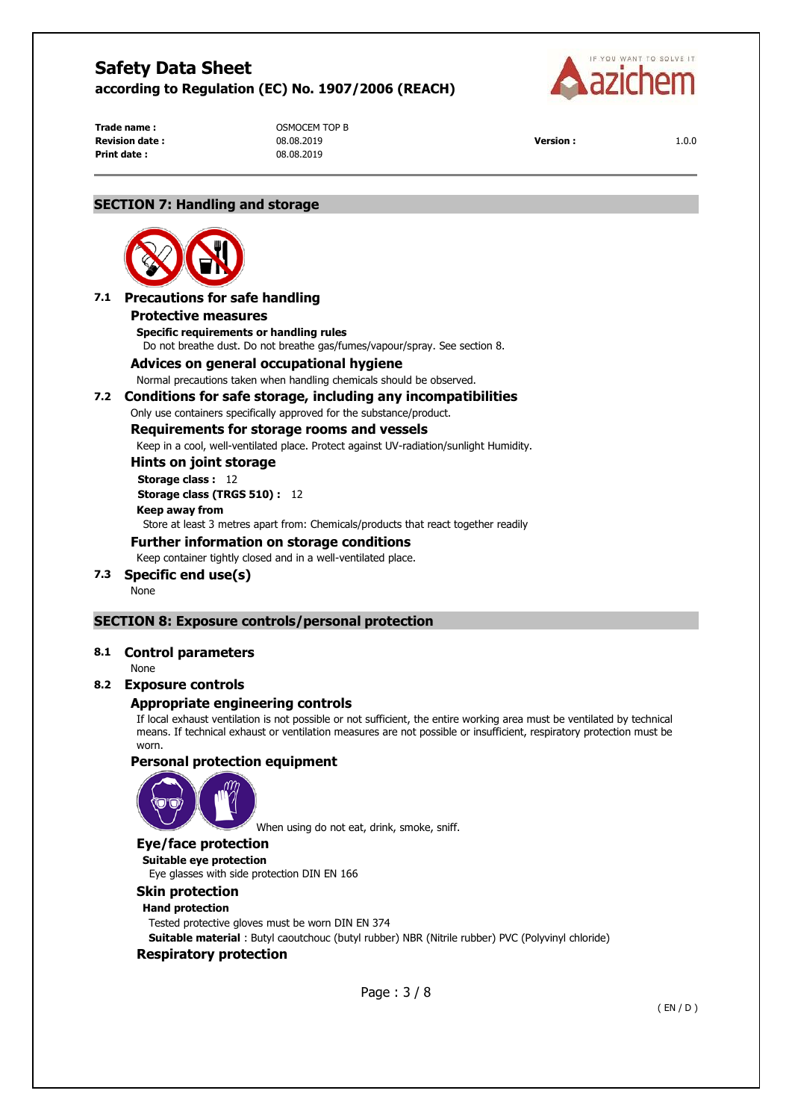

**Print date :** 08.08.2019

**Trade name :**  $OSMOCEM TOP B$ **Revision date :** 08.08.2019 **Version :** 1.0.0

# **SECTION 7: Handling and storage**



# **7.1 Precautions for safe handling**

#### **Protective measures**

**Specific requirements or handling rules**  Do not breathe dust. Do not breathe gas/fumes/vapour/spray. See section 8.

### **Advices on general occupational hygiene**

Normal precautions taken when handling chemicals should be observed.

### **7.2 Conditions for safe storage, including any incompatibilities**

Only use containers specifically approved for the substance/product.

### **Requirements for storage rooms and vessels**

Keep in a cool, well-ventilated place. Protect against UV-radiation/sunlight Humidity.

**Hints on joint storage** 

#### **Storage class :** 12

**Storage class (TRGS 510) :** 12

#### **Keep away from**

Store at least 3 metres apart from: Chemicals/products that react together readily

### **Further information on storage conditions**

Keep container tightly closed and in a well-ventilated place.

**7.3 Specific end use(s)** 

None

# **SECTION 8: Exposure controls/personal protection**

# **8.1 Control parameters**

None

# **8.2 Exposure controls**

# **Appropriate engineering controls**

If local exhaust ventilation is not possible or not sufficient, the entire working area must be ventilated by technical means. If technical exhaust or ventilation measures are not possible or insufficient, respiratory protection must be worn.

# **Personal protection equipment**



When using do not eat, drink, smoke, sniff.

# **Eye/face protection**

**Suitable eye protection**  Eye glasses with side protection DIN EN 166

# **Skin protection**

# **Hand protection**

Tested protective gloves must be worn DIN EN 374

**Suitable material** : Butyl caoutchouc (butyl rubber) NBR (Nitrile rubber) PVC (Polyvinyl chloride)

# **Respiratory protection**

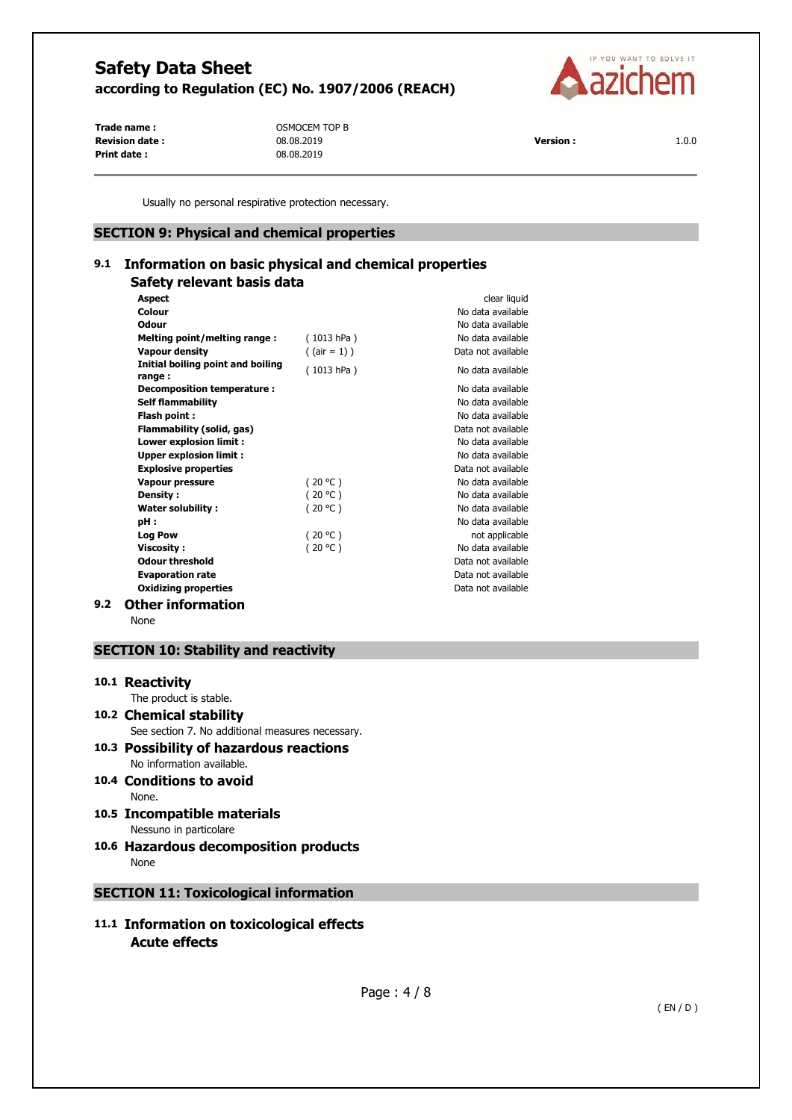

**Revision date :** 08.08.2019 **Version :** 1.0.0 **Print date :** 08.08.2019

**Trade name :**  $OSMOCEM TOP B$ 

Usually no personal respirative protection necessary.

# **SECTION 9: Physical and chemical properties**

# **9.1 Information on basic physical and chemical properties Safety relevant basis data**

|     | <b>Aspect</b>                               |                 | clear liquid       |
|-----|---------------------------------------------|-----------------|--------------------|
|     | Colour                                      |                 | No data available  |
|     | Odour                                       |                 | No data available  |
|     | Melting point/melting range:                | (1013 hPa)      | No data available  |
|     | <b>Vapour density</b>                       | $($ (air = 1) ) | Data not available |
|     | Initial boiling point and boiling<br>range: | (1013 hPa)      | No data available  |
|     | Decomposition temperature :                 |                 | No data available  |
|     | <b>Self flammability</b>                    |                 | No data available  |
|     | Flash point:                                |                 | No data available  |
|     | Flammability (solid, gas)                   |                 | Data not available |
|     | Lower explosion limit :                     |                 | No data available  |
|     | <b>Upper explosion limit:</b>               |                 | No data available  |
|     | <b>Explosive properties</b>                 |                 | Data not available |
|     | Vapour pressure                             | (20 °C)         | No data available  |
|     | Density:                                    | (20 °C)         | No data available  |
|     | <b>Water solubility:</b>                    | (20 °C)         | No data available  |
|     | pH :                                        |                 | No data available  |
|     | <b>Log Pow</b>                              | (20 °C)         | not applicable     |
|     | <b>Viscosity:</b>                           | (20 °C)         | No data available  |
|     | <b>Odour threshold</b>                      |                 | Data not available |
|     | <b>Evaporation rate</b>                     |                 | Data not available |
|     | <b>Oxidizing properties</b>                 |                 | Data not available |
| 9.2 | Other information                           |                 |                    |

None

# **SECTION 10: Stability and reactivity**

# **10.1 Reactivity**

The product is stable.

- **10.2 Chemical stability**  See section 7. No additional measures necessary.
- **10.3 Possibility of hazardous reactions**  No information available.
- **10.4 Conditions to avoid**  None.
- **10.5 Incompatible materials**  Nessuno in particolare
- **10.6 Hazardous decomposition products**  None

# **SECTION 11: Toxicological information**

**11.1 Information on toxicological effects Acute effects**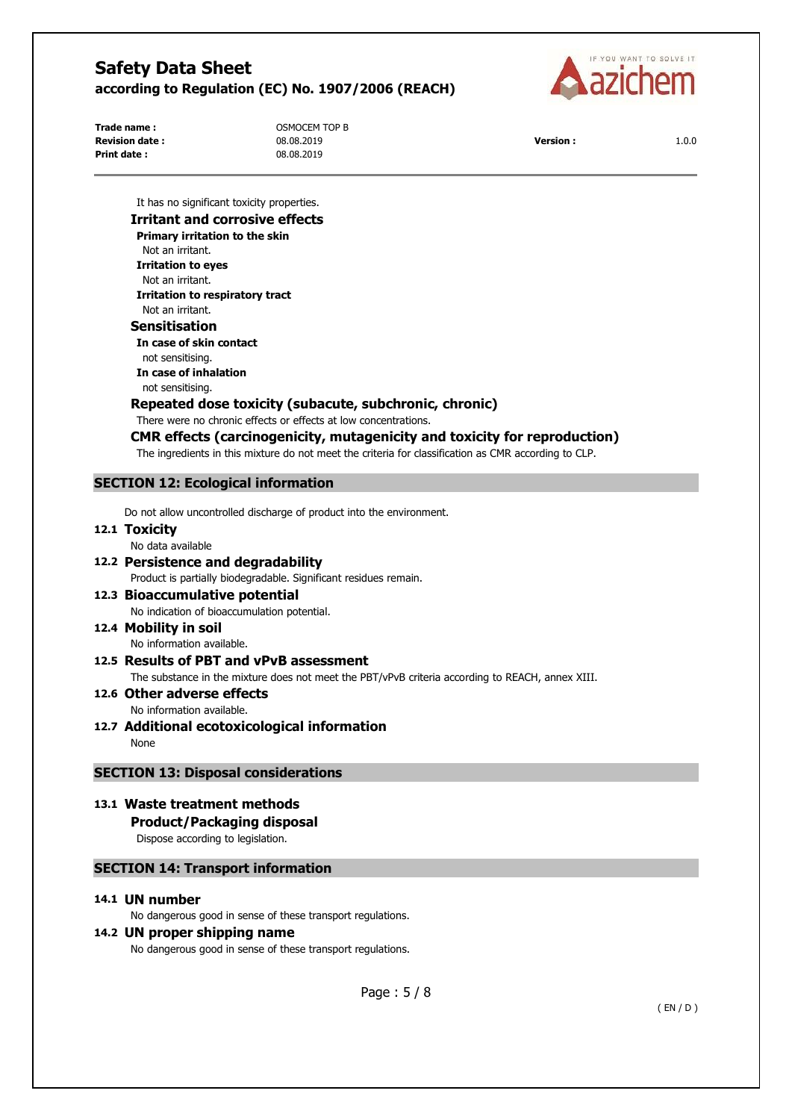

**Revision date :** 08.08.2019 **Version :** 1.0.0 **Print date :** 08.08.2019

**Trade name :**  $OSMOCEM TOP B$ 



It has no significant toxicity properties.

# **Irritant and corrosive effects Primary irritation to the skin**  Not an irritant. **Irritation to eyes**

Not an irritant. **Irritation to respiratory tract**  Not an irritant.

# **Sensitisation**

**In case of skin contact**  not sensitising. **In case of inhalation**  not sensitising.

# **Repeated dose toxicity (subacute, subchronic, chronic)**

There were no chronic effects or effects at low concentrations.

# **CMR effects (carcinogenicity, mutagenicity and toxicity for reproduction)**

The ingredients in this mixture do not meet the criteria for classification as CMR according to CLP.

# **SECTION 12: Ecological information**

Do not allow uncontrolled discharge of product into the environment.

### **12.1 Toxicity**

No data available

# **12.2 Persistence and degradability**  Product is partially biodegradable. Significant residues remain.

# **12.3 Bioaccumulative potential**  No indication of bioaccumulation potential.

# **12.4 Mobility in soil**

No information available.

# **12.5 Results of PBT and vPvB assessment**  The substance in the mixture does not meet the PBT/vPvB criteria according to REACH, annex XIII.

**12.6 Other adverse effects** 

# No information available.

**12.7 Additional ecotoxicological information**  None

# **SECTION 13: Disposal considerations**

**13.1 Waste treatment methods Product/Packaging disposal**  Dispose according to legislation.

# **SECTION 14: Transport information**

# **14.1 UN number**

No dangerous good in sense of these transport regulations.

# **14.2 UN proper shipping name**

No dangerous good in sense of these transport regulations.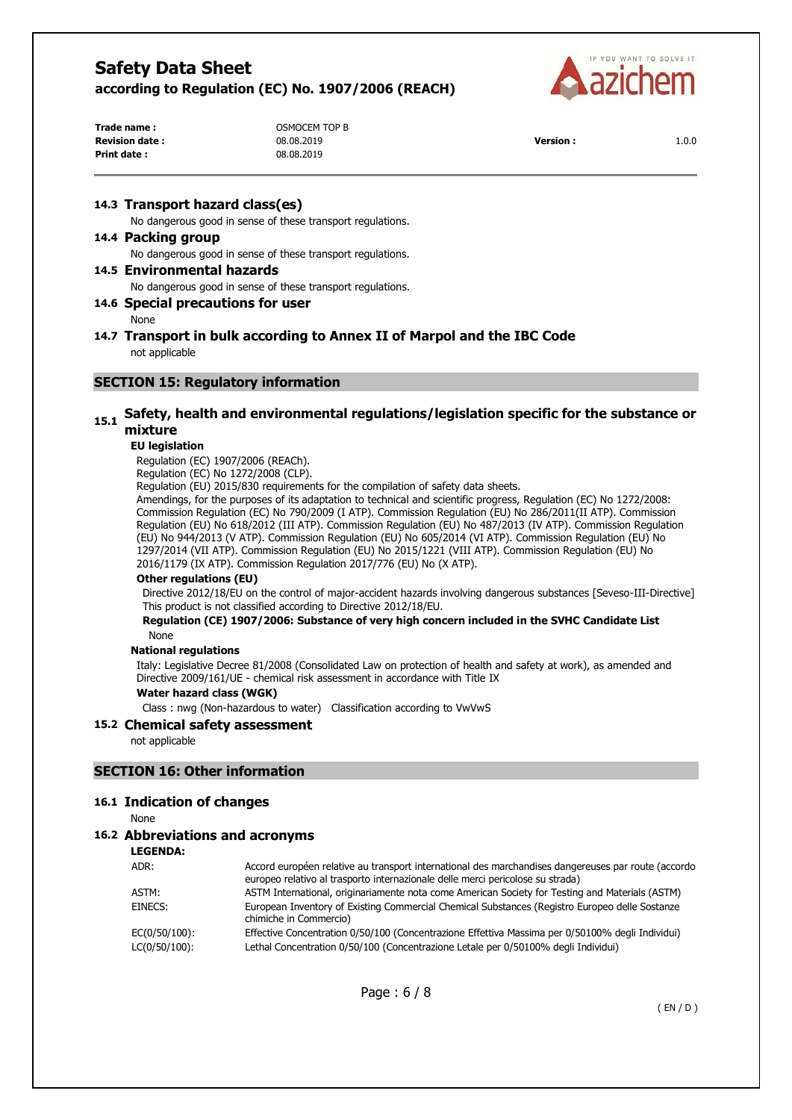

| Trade name :           | OSMOCEM TOP B |                  |       |
|------------------------|---------------|------------------|-------|
| <b>Revision date :</b> | 08.08.2019    | <b>Version :</b> | 1.0.0 |
| Print date :           | 08.08.2019    |                  |       |

### **14.3 Transport hazard class(es)**

No dangerous good in sense of these transport regulations.

#### **14.4 Packing group**

No dangerous good in sense of these transport regulations.

# **14.5 Environmental hazards**

No dangerous good in sense of these transport regulations.

# **14.6 Special precautions for user**

None

# **14.7 Transport in bulk according to Annex II of Marpol and the IBC Code**  not applicable

### **SECTION 15: Regulatory information**

## 15.1 Safety, health and environmental regulations/legislation specific for the substance or **mixture**

### **EU legislation**

Regulation (EC) 1907/2006 (REACh).

Regulation (EC) No 1272/2008 (CLP).

Regulation (EU) 2015/830 requirements for the compilation of safety data sheets.

Amendings, for the purposes of its adaptation to technical and scientific progress, Regulation (EC) No 1272/2008: Commission Regulation (EC) No 790/2009 (I ATP). Commission Regulation (EU) No 286/2011(II ATP). Commission Regulation (EU) No 618/2012 (III ATP). Commission Regulation (EU) No 487/2013 (IV ATP). Commission Regulation (EU) No 944/2013 (V ATP). Commission Regulation (EU) No 605/2014 (VI ATP). Commission Regulation (EU) No 1297/2014 (VII ATP). Commission Regulation (EU) No 2015/1221 (VIII ATP). Commission Regulation (EU) No 2016/1179 (IX ATP). Commission Regulation 2017/776 (EU) No (X ATP).

#### **Other regulations (EU)**

Directive 2012/18/EU on the control of major-accident hazards involving dangerous substances [Seveso-III-Directive] This product is not classified according to Directive 2012/18/EU.

#### **Regulation (CE) 1907/2006: Substance of very high concern included in the SVHC Candidate List**  None

#### **National regulations**

Italy: Legislative Decree 81/2008 (Consolidated Law on protection of health and safety at work), as amended and Directive 2009/161/UE - chemical risk assessment in accordance with Title IX

#### **Water hazard class (WGK)**

Class : nwg (Non-hazardous to water) Classification according to VwVwS

#### **15.2 Chemical safety assessment**

not applicable

### **SECTION 16: Other information**

#### **16.1 Indication of changes**

None

### **16.2 Abbreviations and acronyms**

**LEGENDA:**

| Accord européen relative au transport international des marchandises dangereuses par route (accordo<br>europeo relativo al trasporto internazionale delle merci pericolose su strada) |
|---------------------------------------------------------------------------------------------------------------------------------------------------------------------------------------|
| ASTM International, originariamente nota come American Society for Testing and Materials (ASTM)                                                                                       |
| European Inventory of Existing Commercial Chemical Substances (Registro Europeo delle Sostanze<br>chimiche in Commercio)                                                              |
| Effective Concentration 0/50/100 (Concentrazione Effettiva Massima per 0/50100% degli Individui)                                                                                      |
| Lethal Concentration 0/50/100 (Concentrazione Letale per 0/50100% degli Individui)                                                                                                    |
|                                                                                                                                                                                       |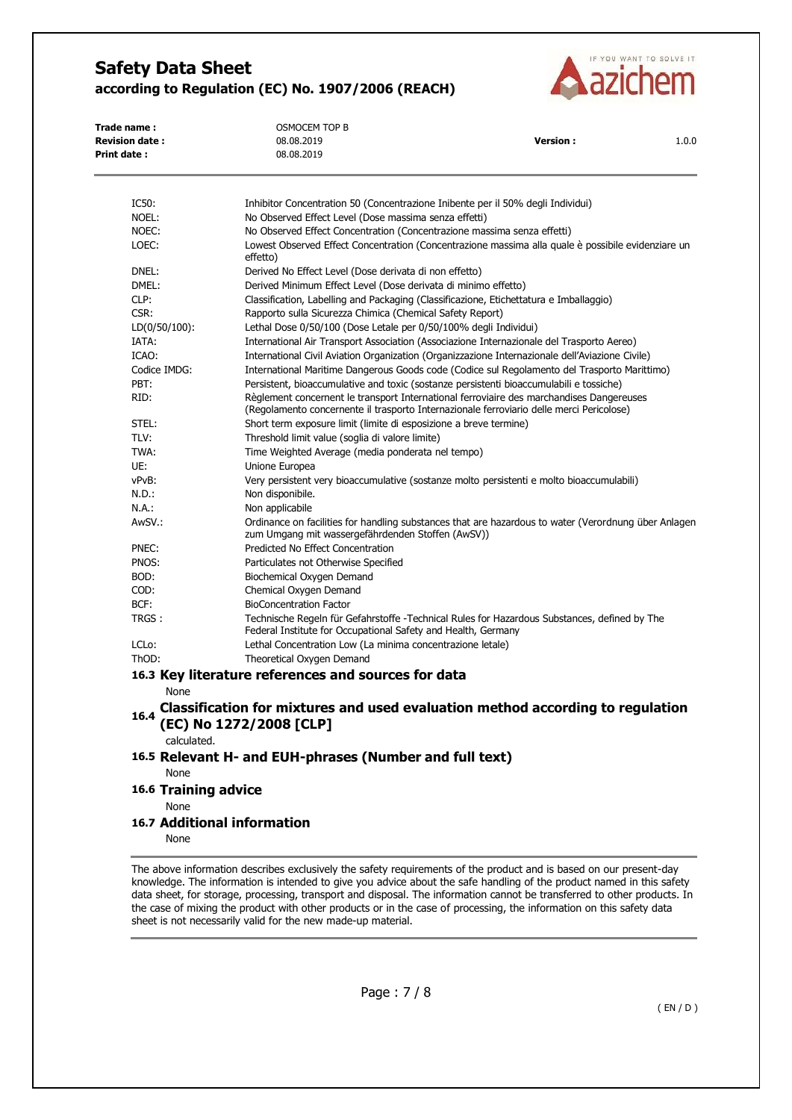

| Trade name:<br><b>Revision date:</b><br><b>Print date:</b> | <b>OSMOCEM TOP B</b><br>08.08.2019<br>08.08.2019                                                                                                                                     | <b>Version:</b>                                                         | 1.0.0 |
|------------------------------------------------------------|--------------------------------------------------------------------------------------------------------------------------------------------------------------------------------------|-------------------------------------------------------------------------|-------|
| IC50:                                                      | Inhibitor Concentration 50 (Concentrazione Inibente per il 50% degli Individui)                                                                                                      |                                                                         |       |
| NOEL:                                                      | No Observed Effect Level (Dose massima senza effetti)                                                                                                                                |                                                                         |       |
| NOEC:                                                      |                                                                                                                                                                                      | No Observed Effect Concentration (Concentrazione massima senza effetti) |       |
| LOEC:                                                      | Lowest Observed Effect Concentration (Concentrazione massima alla quale è possibile evidenziare un<br>effetto)                                                                       |                                                                         |       |
| DNEL:                                                      | Derived No Effect Level (Dose derivata di non effetto)                                                                                                                               |                                                                         |       |
| DMEL:                                                      | Derived Minimum Effect Level (Dose derivata di minimo effetto)                                                                                                                       |                                                                         |       |
| CLP:                                                       | Classification, Labelling and Packaging (Classificazione, Etichettatura e Imballaggio)                                                                                               |                                                                         |       |
| CSR:                                                       | Rapporto sulla Sicurezza Chimica (Chemical Safety Report)                                                                                                                            |                                                                         |       |
| $LD(0/50/100)$ :                                           | Lethal Dose 0/50/100 (Dose Letale per 0/50/100% degli Individui)                                                                                                                     |                                                                         |       |
| IATA:                                                      | International Air Transport Association (Associazione Internazionale del Trasporto Aereo)                                                                                            |                                                                         |       |
| ICAO:                                                      | International Civil Aviation Organization (Organizzazione Internazionale dell'Aviazione Civile)                                                                                      |                                                                         |       |
| Codice IMDG:                                               | International Maritime Dangerous Goods code (Codice sul Regolamento del Trasporto Marittimo)                                                                                         |                                                                         |       |
| PBT:                                                       | Persistent, bioaccumulative and toxic (sostanze persistenti bioaccumulabili e tossiche)                                                                                              |                                                                         |       |
| RID:                                                       | Règlement concernent le transport International ferroviaire des marchandises Dangereuses<br>(Regolamento concernente il trasporto Internazionale ferroviario delle merci Pericolose) |                                                                         |       |
| STEL:                                                      | Short term exposure limit (limite di esposizione a breve termine)                                                                                                                    |                                                                         |       |
| TLV:                                                       | Threshold limit value (soglia di valore limite)                                                                                                                                      |                                                                         |       |
| TWA:                                                       | Time Weighted Average (media ponderata nel tempo)                                                                                                                                    |                                                                         |       |
| UE:                                                        | Unione Europea                                                                                                                                                                       |                                                                         |       |
| vPvB:                                                      | Very persistent very bioaccumulative (sostanze molto persistenti e molto bioaccumulabili)                                                                                            |                                                                         |       |
| N.D.:                                                      | Non disponibile.                                                                                                                                                                     |                                                                         |       |
| N.A.:                                                      | Non applicabile                                                                                                                                                                      |                                                                         |       |
| AwSV.:                                                     | Ordinance on facilities for handling substances that are hazardous to water (Verordnung über Anlagen<br>zum Umgang mit wassergefährdenden Stoffen (AwSV))                            |                                                                         |       |

- PNEC: Predicted No Effect Concentration
- PNOS: Particulates not Otherwise Specified
- BOD: Biochemical Oxygen Demand COD: Chemical Oxygen Demand
- 
- BCF: BioConcentration Factor TRGS : Technische Regeln für Gefahrstoffe -Technical Rules for Hazardous Substances, defined by The Federal Institute for Occupational Safety and Health, Germany
- LCLo: Lethal Concentration Low (La minima concentrazione letale)
- ThOD: Theoretical Oxygen Demand
- **16.3 Key literature references and sources for data**

None

**16.4 Classification for mixtures and used evaluation method according to regulation (EC) No 1272/2008 [CLP]** 

calculated.

- **16.5 Relevant H- and EUH-phrases (Number and full text)**  None
- **16.6 Training advice**

None

**16.7 Additional information** 

None

The above information describes exclusively the safety requirements of the product and is based on our present-day knowledge. The information is intended to give you advice about the safe handling of the product named in this safety data sheet, for storage, processing, transport and disposal. The information cannot be transferred to other products. In the case of mixing the product with other products or in the case of processing, the information on this safety data sheet is not necessarily valid for the new made-up material.